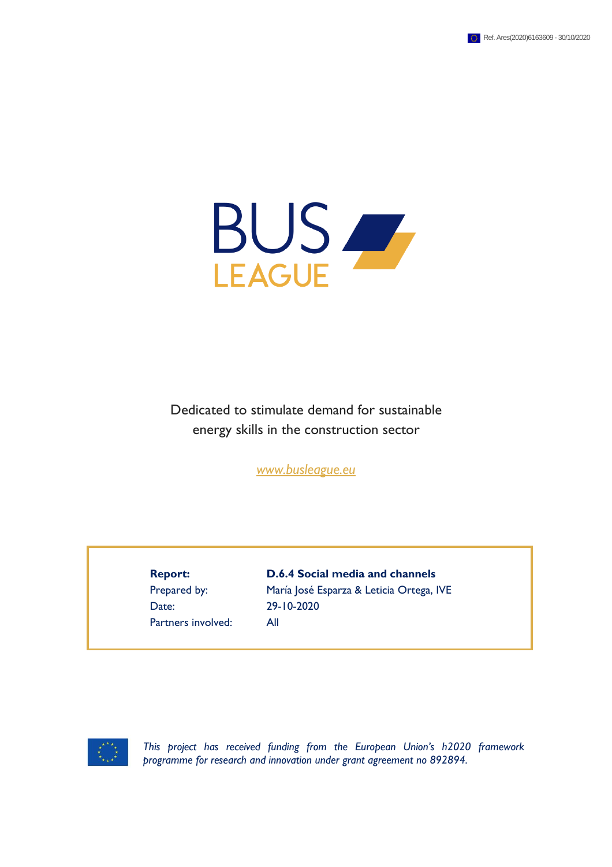

Dedicated to stimulate demand for sustainable energy skills in the construction sector

*[www.busleague.eu](http://www.busleague.eu/)*

Date: 29-10-2020 Partners involved: All

**Report: D.6.4 Social media and channels** Prepared by: María José Esparza & Leticia Ortega, IVE



*This project has received funding from the European Union's h2020 framework programme for research and innovation under grant agreement no 892894.*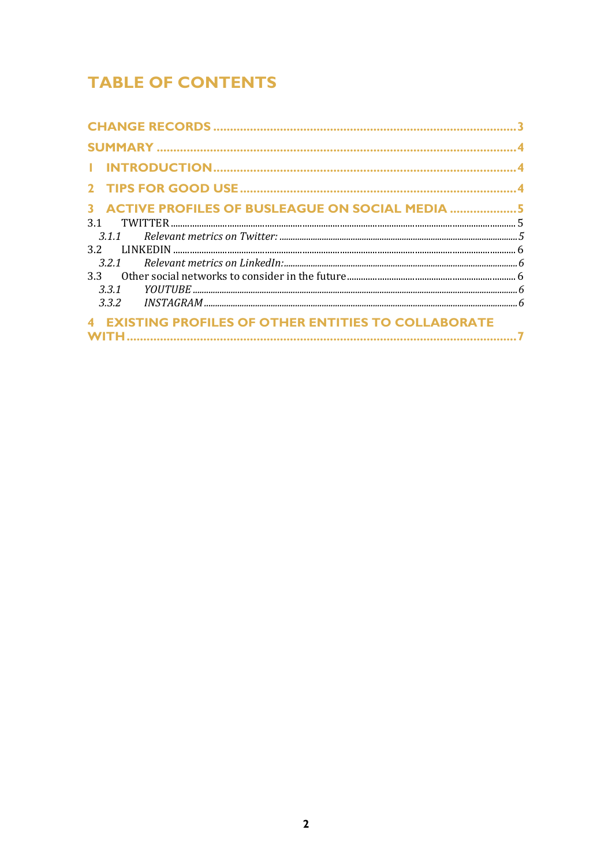# **TABLE OF CONTENTS**

| 3 ACTIVE PROFILES OF BUSLEAGUE ON SOCIAL MEDIA 5            |  |
|-------------------------------------------------------------|--|
| 3.1                                                         |  |
|                                                             |  |
|                                                             |  |
|                                                             |  |
|                                                             |  |
| 3.3.1                                                       |  |
|                                                             |  |
| <b>4 EXISTING PROFILES OF OTHER ENTITIES TO COLLABORATE</b> |  |
|                                                             |  |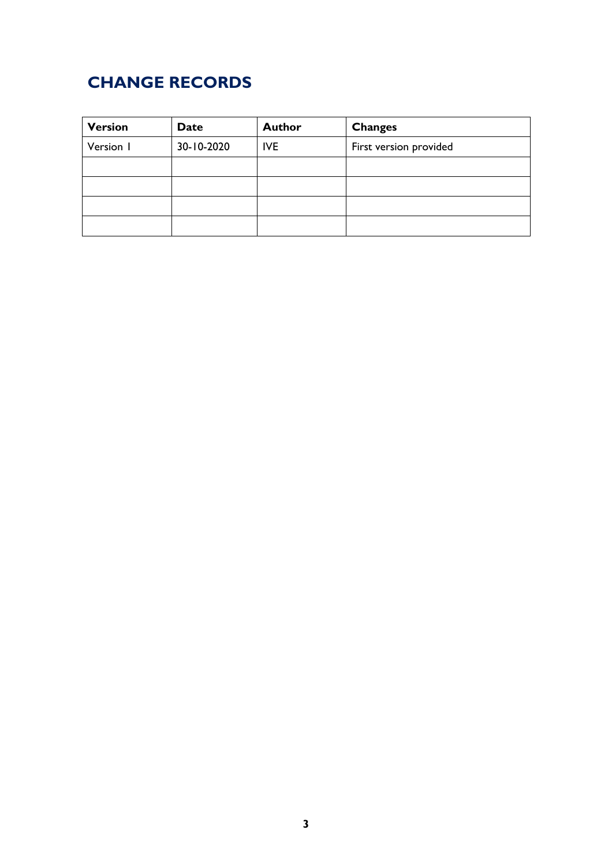# <span id="page-2-0"></span>**CHANGE RECORDS**

| <b>Version</b> | <b>Date</b> | <b>Author</b> | <b>Changes</b>         |
|----------------|-------------|---------------|------------------------|
| Version I      | 30-10-2020  | <b>IVE</b>    | First version provided |
|                |             |               |                        |
|                |             |               |                        |
|                |             |               |                        |
|                |             |               |                        |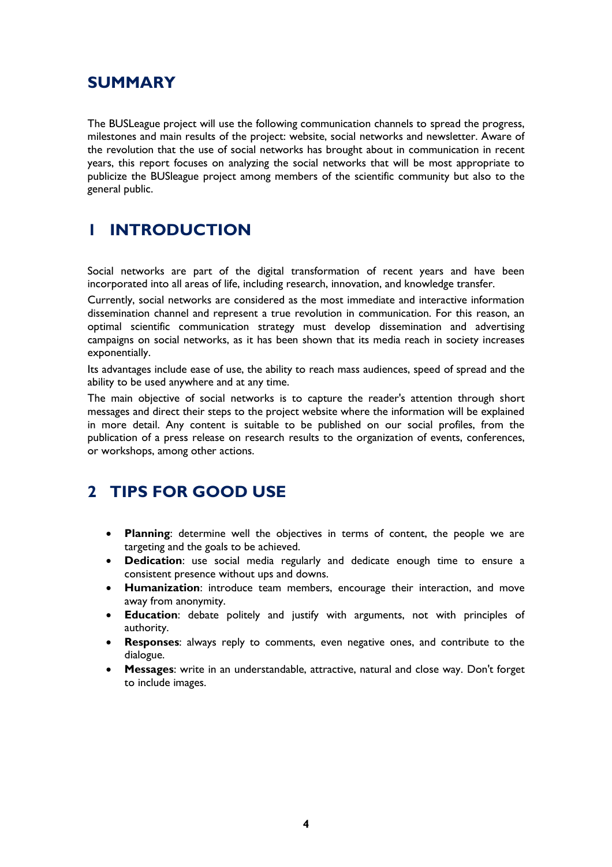## <span id="page-3-0"></span>**SUMMARY**

The BUSLeague project will use the following communication channels to spread the progress, milestones and main results of the project: website, social networks and newsletter. Aware of the revolution that the use of social networks has brought about in communication in recent years, this report focuses on analyzing the social networks that will be most appropriate to publicize the BUSleague project among members of the scientific community but also to the general public.

# <span id="page-3-1"></span>**1 INTRODUCTION**

Social networks are part of the digital transformation of recent years and have been incorporated into all areas of life, including research, innovation, and knowledge transfer.

Currently, social networks are considered as the most immediate and interactive information dissemination channel and represent a true revolution in communication. For this reason, an optimal scientific communication strategy must develop dissemination and advertising campaigns on social networks, as it has been shown that its media reach in society increases exponentially.

Its advantages include ease of use, the ability to reach mass audiences, speed of spread and the ability to be used anywhere and at any time.

The main objective of social networks is to capture the reader's attention through short messages and direct their steps to the project website where the information will be explained in more detail. Any content is suitable to be published on our social profiles, from the publication of a press release on research results to the organization of events, conferences, or workshops, among other actions.

# <span id="page-3-2"></span>**2 TIPS FOR GOOD USE**

- **Planning**: determine well the objectives in terms of content, the people we are targeting and the goals to be achieved.
- **Dedication**: use social media regularly and dedicate enough time to ensure a consistent presence without ups and downs.
- **Humanization**: introduce team members, encourage their interaction, and move away from anonymity.
- **Education**: debate politely and justify with arguments, not with principles of authority.
- **Responses**: always reply to comments, even negative ones, and contribute to the dialogue.
- **Messages**: write in an understandable, attractive, natural and close way. Don't forget to include images.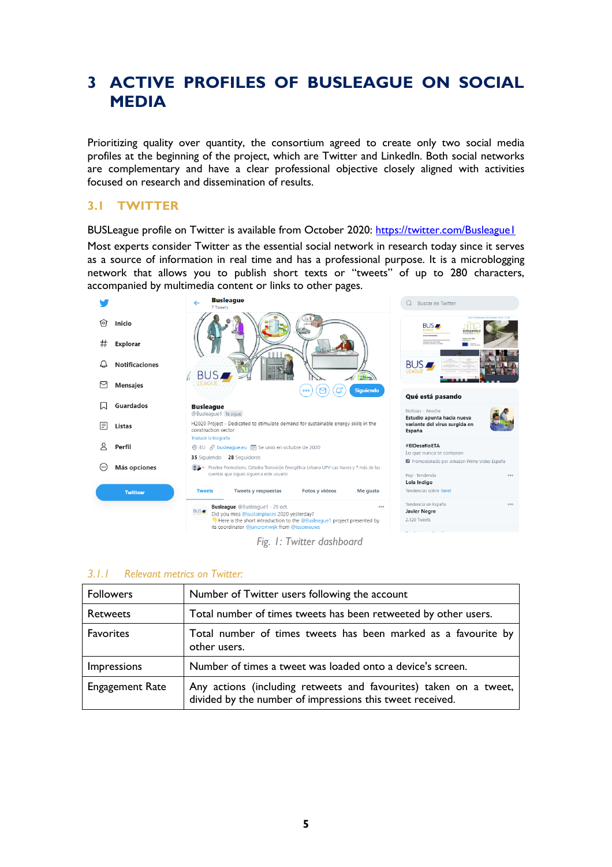## <span id="page-4-0"></span>**3 ACTIVE PROFILES OF BUSLEAGUE ON SOCIAL MEDIA**

Prioritizing quality over quantity, the consortium agreed to create only two social media profiles at the beginning of the project, which are Twitter and LinkedIn. Both social networks are complementary and have a clear professional objective closely aligned with activities focused on research and dissemination of results.

### <span id="page-4-1"></span>**3.1 TWITTER**

BUSLeague profile on Twitter is available from October 2020: <https://twitter.com/Busleague1> Most experts consider Twitter as the essential social network in research today since it serves as a source of information in real time and has a professional purpose. It is a microblogging network that allows you to publish short texts or "tweets" of up to 280 characters,



*Fig. 1: Twitter dashboard*

#### <span id="page-4-2"></span>*3.1.1 Relevant metrics on Twitter:*

| <b>Followers</b>       | Number of Twitter users following the account                                                                                  |
|------------------------|--------------------------------------------------------------------------------------------------------------------------------|
| <b>Retweets</b>        | Total number of times tweets has been retweeted by other users.                                                                |
| Favorites              | Total number of times tweets has been marked as a favourite by<br>other users.                                                 |
| Impressions            | Number of times a tweet was loaded onto a device's screen.                                                                     |
| <b>Engagement Rate</b> | Any actions (including retweets and favourites) taken on a tweet,<br>divided by the number of impressions this tweet received. |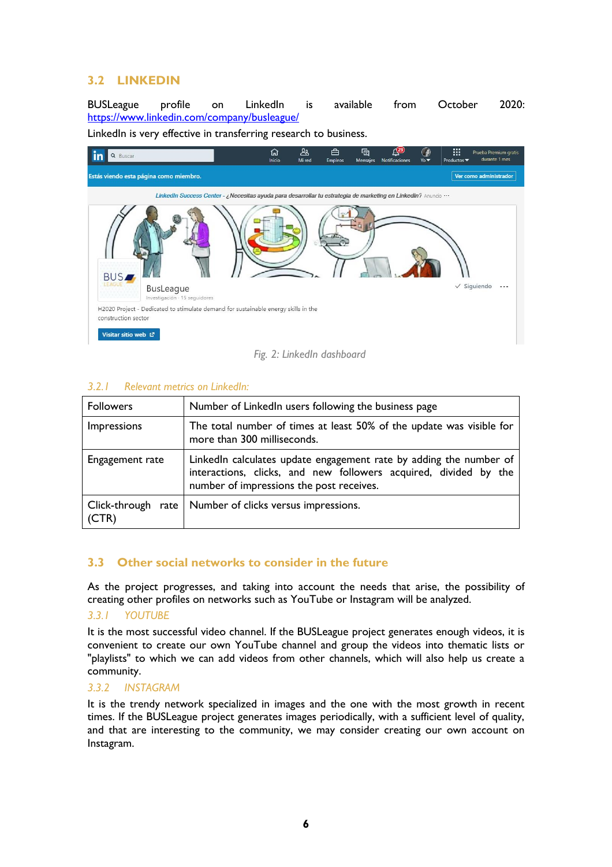### <span id="page-5-0"></span>**3.2 LINKEDIN**

BUSLeague profile on LinkedIn is available from October 2020: <https://www.linkedin.com/company/busleague/>

LinkedIn is very effective in transferring research to business.



*Fig. 2: LinkedIn dashboard*

#### <span id="page-5-1"></span>*3.2.1 Relevant metrics on LinkedIn:*

| <b>Followers</b> | Number of LinkedIn users following the business page                                                                                                                               |
|------------------|------------------------------------------------------------------------------------------------------------------------------------------------------------------------------------|
| Impressions      | The total number of times at least 50% of the update was visible for<br>more than 300 milliseconds.                                                                                |
| Engagement rate  | LinkedIn calculates update engagement rate by adding the number of<br>interactions, clicks, and new followers acquired, divided by the<br>number of impressions the post receives. |
| (CTR)            | Click-through rate   Number of clicks versus impressions.                                                                                                                          |

### <span id="page-5-2"></span>**3.3 Other social networks to consider in the future**

As the project progresses, and taking into account the needs that arise, the possibility of creating other profiles on networks such as YouTube or Instagram will be analyzed.

#### <span id="page-5-3"></span>*3.3.1 YOUTUBE*

It is the most successful video channel. If the BUSLeague project generates enough videos, it is convenient to create our own YouTube channel and group the videos into thematic lists or "playlists" to which we can add videos from other channels, which will also help us create a community.

#### <span id="page-5-4"></span>*3.3.2 INSTAGRAM*

It is the trendy network specialized in images and the one with the most growth in recent times. If the BUSLeague project generates images periodically, with a sufficient level of quality, and that are interesting to the community, we may consider creating our own account on Instagram.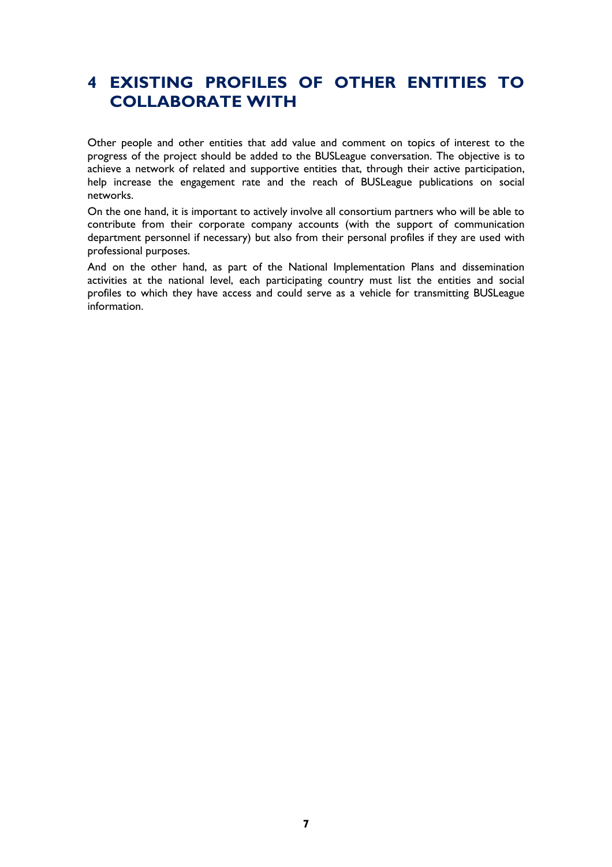## <span id="page-6-0"></span>**4 EXISTING PROFILES OF OTHER ENTITIES TO COLLABORATE WITH**

Other people and other entities that add value and comment on topics of interest to the progress of the project should be added to the BUSLeague conversation. The objective is to achieve a network of related and supportive entities that, through their active participation, help increase the engagement rate and the reach of BUSLeague publications on social networks.

On the one hand, it is important to actively involve all consortium partners who will be able to contribute from their corporate company accounts (with the support of communication department personnel if necessary) but also from their personal profiles if they are used with professional purposes.

And on the other hand, as part of the National Implementation Plans and dissemination activities at the national level, each participating country must list the entities and social profiles to which they have access and could serve as a vehicle for transmitting BUSLeague information.